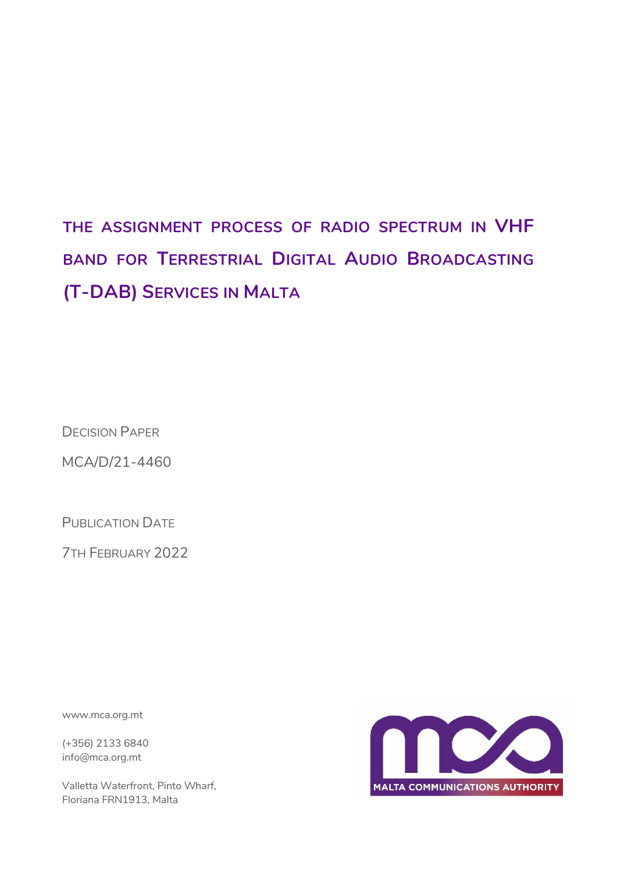# **THE ASSIGNMENT PROCESS OF RADIO SPECTRUM IN VHF BAND FOR TERRESTRIAL DIGITAL AUDIO BROADCASTING (T-DAB) SERVICES IN MALTA**

DECISION PAPER

MCA/D/21-4460

PUBLICATION DATE

7TH FEBRUARY 2022

www.mca.org.mt

(+356) 2133 6840 info@mca.org.mt

Valletta Waterfront, Pinto Wharf, Floriana FRN1913, Malta

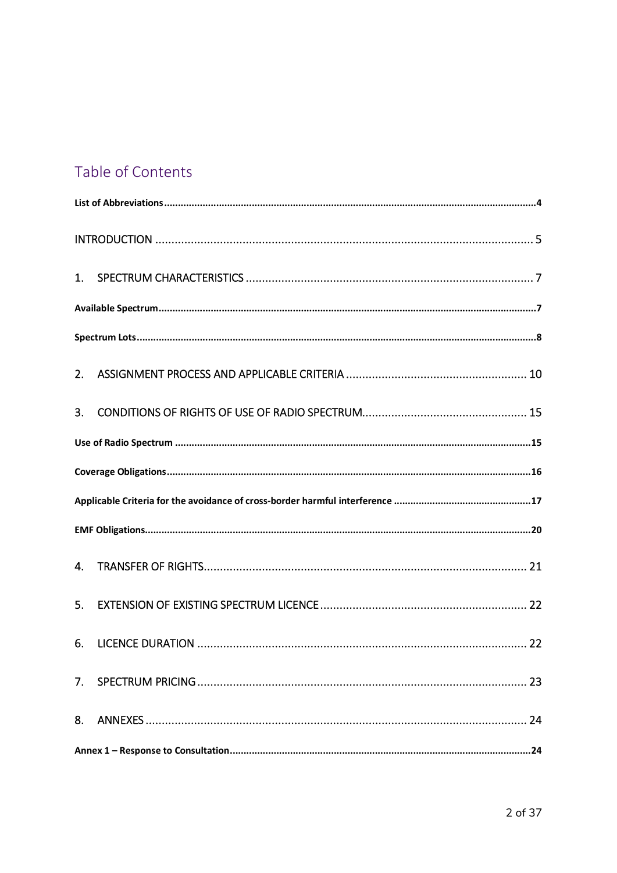# Table of Contents

| 2.             |  |  |  |  |  |
|----------------|--|--|--|--|--|
| 3 <sub>1</sub> |  |  |  |  |  |
|                |  |  |  |  |  |
|                |  |  |  |  |  |
|                |  |  |  |  |  |
|                |  |  |  |  |  |
| 4.             |  |  |  |  |  |
| 5.             |  |  |  |  |  |
| 6.             |  |  |  |  |  |
|                |  |  |  |  |  |
| 8.             |  |  |  |  |  |
|                |  |  |  |  |  |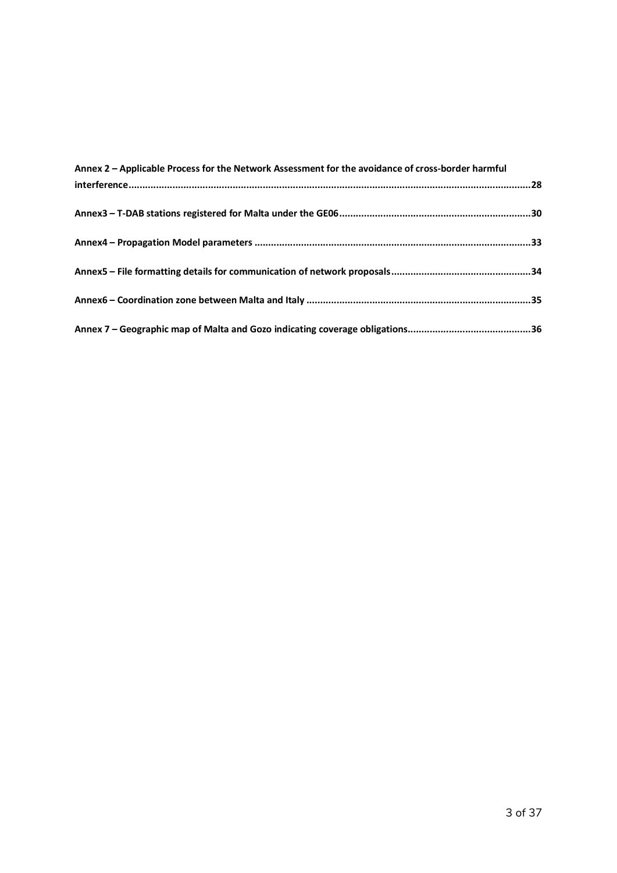| Annex 2 - Applicable Process for the Network Assessment for the avoidance of cross-border harmful |  |  |
|---------------------------------------------------------------------------------------------------|--|--|
|                                                                                                   |  |  |
|                                                                                                   |  |  |
|                                                                                                   |  |  |
|                                                                                                   |  |  |
|                                                                                                   |  |  |
|                                                                                                   |  |  |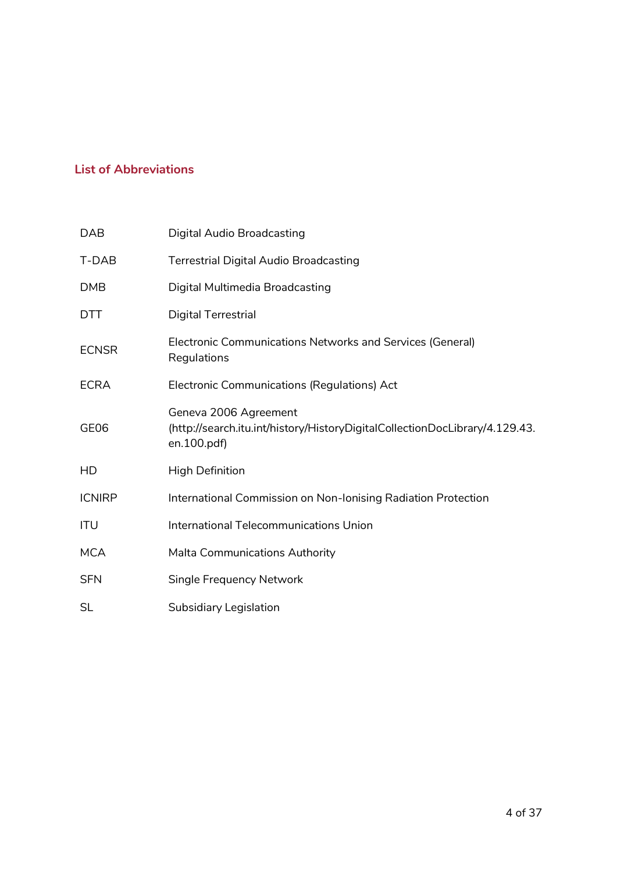### **List of Abbreviations**

| <b>DAB</b>    | <b>Digital Audio Broadcasting</b>                                                                                   |
|---------------|---------------------------------------------------------------------------------------------------------------------|
| T-DAB         | <b>Terrestrial Digital Audio Broadcasting</b>                                                                       |
| <b>DMB</b>    | Digital Multimedia Broadcasting                                                                                     |
| <b>DTT</b>    | Digital Terrestrial                                                                                                 |
| <b>ECNSR</b>  | Electronic Communications Networks and Services (General)<br>Regulations                                            |
| <b>ECRA</b>   | Electronic Communications (Regulations) Act                                                                         |
| GE06          | Geneva 2006 Agreement<br>(http://search.itu.int/history/HistoryDigitalCollectionDocLibrary/4.129.43.<br>en.100.pdf) |
| HD            | <b>High Definition</b>                                                                                              |
| <b>ICNIRP</b> | International Commission on Non-Ionising Radiation Protection                                                       |
| <b>ITU</b>    | International Telecommunications Union                                                                              |
| <b>MCA</b>    | Malta Communications Authority                                                                                      |
| <b>SFN</b>    | <b>Single Frequency Network</b>                                                                                     |
| SL            | <b>Subsidiary Legislation</b>                                                                                       |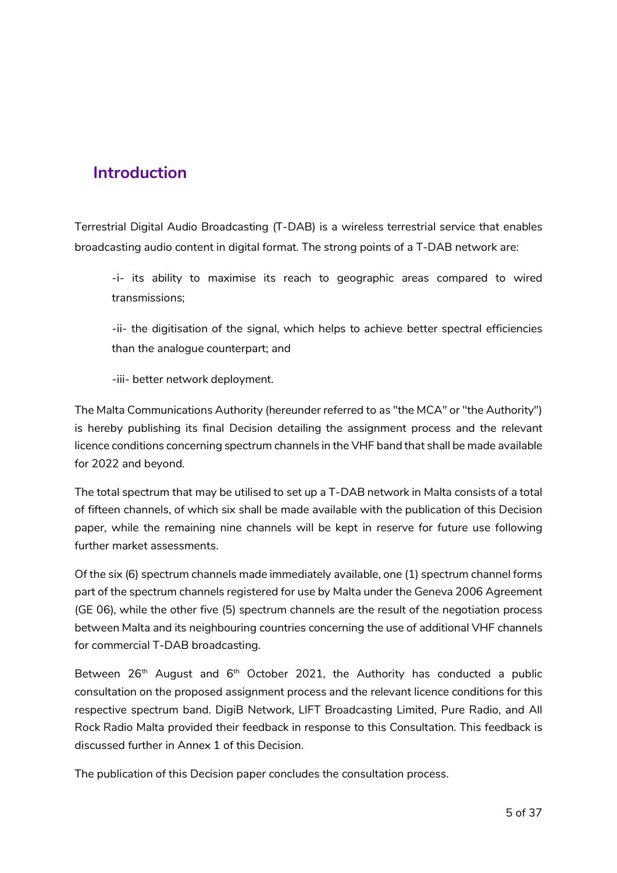# **Introduction**

Terrestrial Digital Audio Broadcasting (T-DAB) is a wireless terrestrial service that enables broadcasting audio content in digital format. The strong points of a T-DAB network are:

-i- its ability to maximise its reach to geographic areas compared to wired transmissions;

-ii- the digitisation of the signal, which helps to achieve better spectral efficiencies than the analogue counterpart; and

-iii- better network deployment.

The Malta Communications Authority (hereunder referred to as "the MCA" or "the Authority") is hereby publishing its final Decision detailing the assignment process and the relevant licence conditions concerning spectrum channels in the VHF band that shall be made available for 2022 and beyond.

The total spectrum that may be utilised to set up a T-DAB network in Malta consists of a total of fifteen channels, of which six shall be made available with the publication of this Decision paper, while the remaining nine channels will be kept in reserve for future use following further market assessments.

Of the six (6) spectrum channels made immediately available, one (1) spectrum channel forms part of the spectrum channels registered for use by Malta under the Geneva 2006 Agreement (GE 06), while the other five (5) spectrum channels are the result of the negotiation process between Malta and its neighbouring countries concerning the use of additional VHF channels for commercial T-DAB broadcasting.

Between  $26<sup>th</sup>$  August and  $6<sup>th</sup>$  October 2021, the Authority has conducted a public consultation on the proposed assignment process and the relevant licence conditions for this respective spectrum band. DigiB Network, LIFT Broadcasting Limited, Pure Radio, and All Rock Radio Malta provided their feedback in response to this Consultation. This feedback is discussed further in Annex 1 of this Decision.

The publication of this Decision paper concludes the consultation process.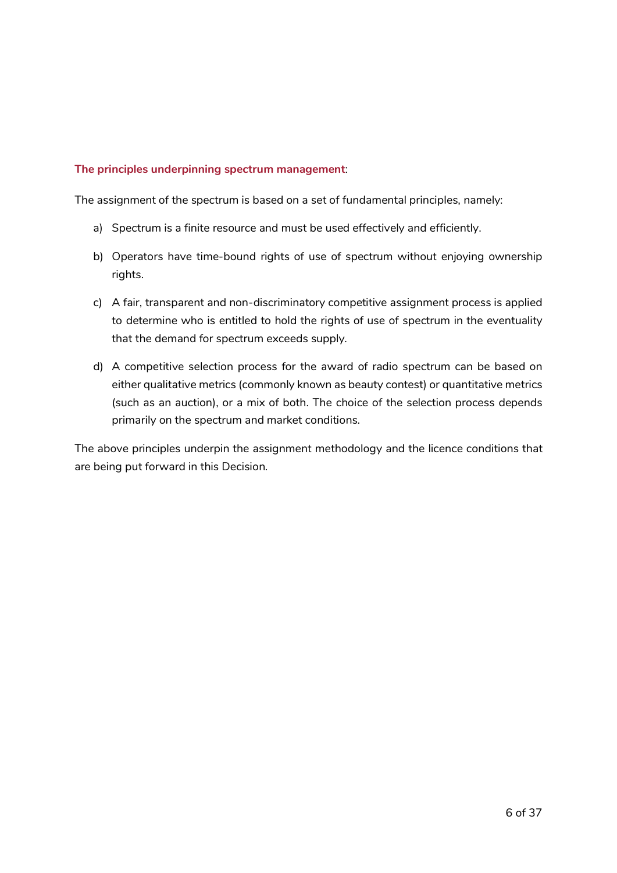#### **The principles underpinning spectrum management**:

The assignment of the spectrum is based on a set of fundamental principles, namely:

- a) Spectrum is a finite resource and must be used effectively and efficiently.
- b) Operators have time-bound rights of use of spectrum without enjoying ownership rights.
- c) A fair, transparent and non-discriminatory competitive assignment process is applied to determine who is entitled to hold the rights of use of spectrum in the eventuality that the demand for spectrum exceeds supply.
- d) A competitive selection process for the award of radio spectrum can be based on either qualitative metrics (commonly known as beauty contest) or quantitative metrics (such as an auction), or a mix of both. The choice of the selection process depends primarily on the spectrum and market conditions.

The above principles underpin the assignment methodology and the licence conditions that are being put forward in this Decision.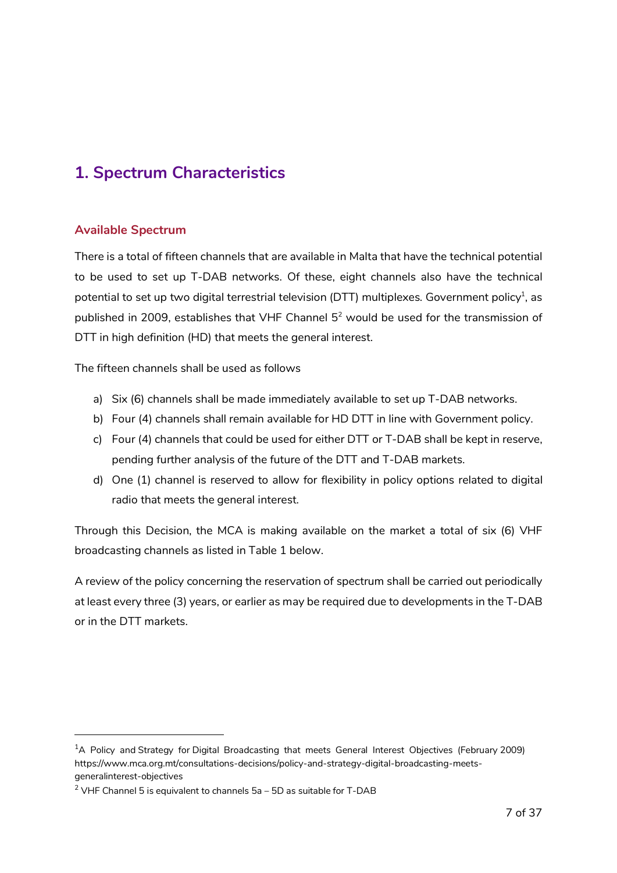# **1. Spectrum Characteristics**

#### **Available Spectrum**

-

There is a total of fifteen channels that are available in Malta that have the technical potential to be used to set up T-DAB networks. Of these, eight channels also have the technical potential to set up two digital terrestrial television (DTT) multiplexes. Government policy<sup>1</sup>, as published in 2009, establishes that VHF Channel  $5<sup>2</sup>$  would be used for the transmission of DTT in high definition (HD) that meets the general interest.

The fifteen channels shall be used as follows

- a) Six (6) channels shall be made immediately available to set up T-DAB networks.
- b) Four (4) channels shall remain available for HD DTT in line with Government policy.
- c) Four (4) channels that could be used for either DTT or T-DAB shall be kept in reserve, pending further analysis of the future of the DTT and T-DAB markets.
- d) One (1) channel is reserved to allow for flexibility in policy options related to digital radio that meets the general interest.

Through this Decision, the MCA is making available on the market a total of six (6) VHF broadcasting channels as listed in Table 1 below.

A review of the policy concerning the reservation of spectrum shall be carried out periodically at least every three (3) years, or earlier as may be required due to developments in the T-DAB or in the DTT markets.

<sup>&</sup>lt;sup>1</sup>A Policy and Strategy for Digital Broadcasting that meets General Interest Objectives (February 2009) https://www.mca.org.mt/consultations-decisions/policy-and-strategy-digital-broadcasting-meetsgeneralinterest-objectives

 $^{2}$  VHF Channel 5 is equivalent to channels 5a – 5D as suitable for T-DAB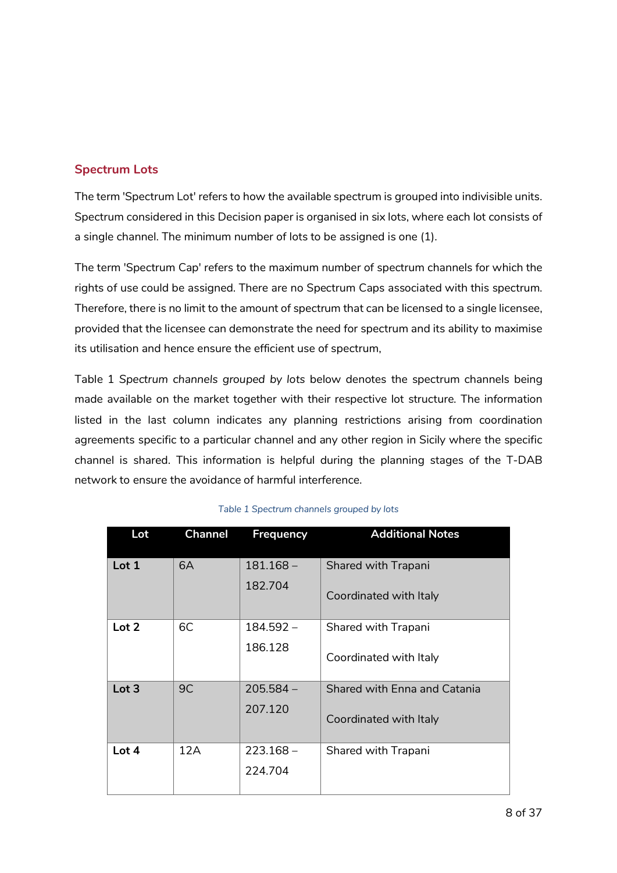### **Spectrum Lots**

The term 'Spectrum Lot' refers to how the available spectrum is grouped into indivisible units. Spectrum considered in this Decision paper is organised in six lots, where each lot consists of a single channel. The minimum number of lots to be assigned is one (1).

The term 'Spectrum Cap' refers to the maximum number of spectrum channels for which the rights of use could be assigned. There are no Spectrum Caps associated with this spectrum. Therefore, there is no limit to the amount of spectrum that can be licensed to a single licensee, provided that the licensee can demonstrate the need for spectrum and its ability to maximise its utilisation and hence ensure the efficient use of spectrum,

Table 1 *Spectrum channels grouped by lots* below denotes the spectrum channels being made available on the market together with their respective lot structure. The information listed in the last column indicates any planning restrictions arising from coordination agreements specific to a particular channel and any other region in Sicily where the specific channel is shared. This information is helpful during the planning stages of the T-DAB network to ensure the avoidance of harmful interference.

| Lot              | <b>Channel</b> | <b>Frequency</b> | <b>Additional Notes</b>      |
|------------------|----------------|------------------|------------------------------|
| Lot <sub>1</sub> | 6A             | $181.168 -$      | Shared with Trapani          |
|                  |                | 182.704          | Coordinated with Italy       |
| Lot <sub>2</sub> | 6C             | $184.592 -$      | Shared with Trapani          |
|                  |                | 186.128          | Coordinated with Italy       |
| Lot <sub>3</sub> | 9C             | $205.584 -$      | Shared with Enna and Catania |
|                  |                | 207.120          | Coordinated with Italy       |
| Lot 4            | 12A            | $223.168 -$      | Shared with Trapani          |
|                  |                | 224.704          |                              |
|                  |                |                  |                              |

#### *Table 1 Spectrum channels grouped by lots*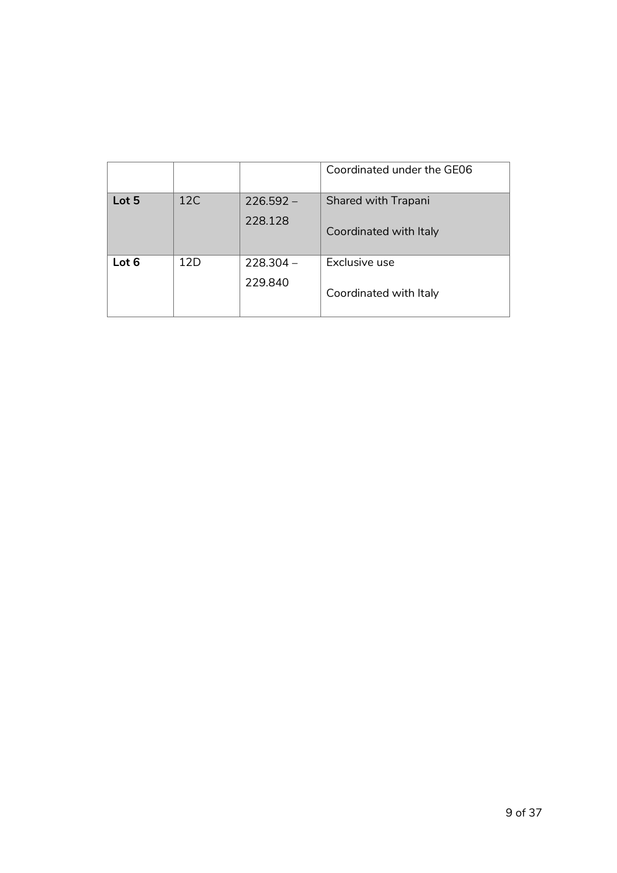|       |     |                        | Coordinated under the GE06                    |
|-------|-----|------------------------|-----------------------------------------------|
| Lot 5 | 12C | $226.592 -$<br>228.128 | Shared with Trapani<br>Coordinated with Italy |
| Lot 6 | 12D | $778.304 -$<br>229.840 | Exclusive use<br>Coordinated with Italy       |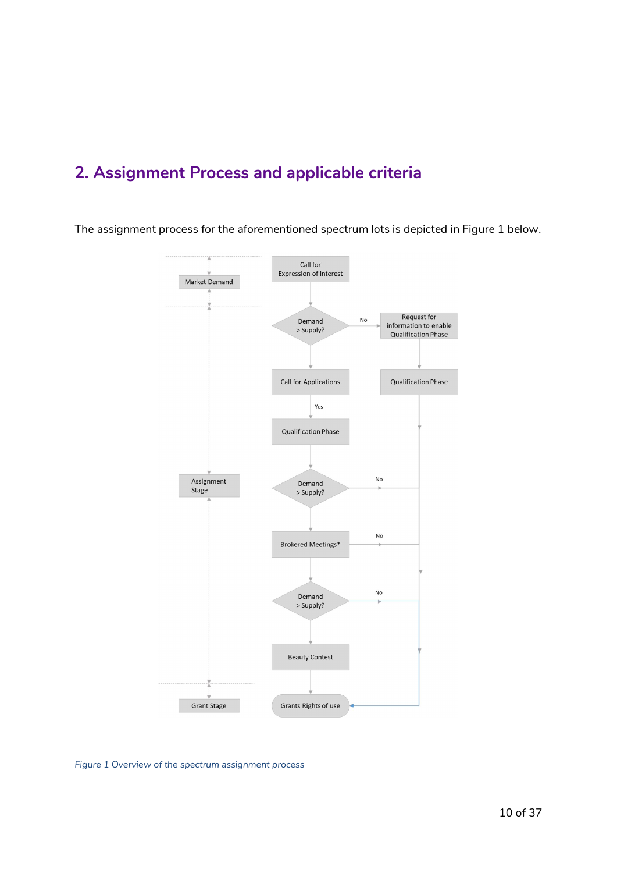# **2. Assignment Process and applicable criteria**

The assignment process for the aforementioned spectrum lots is depicted in Figure 1 below.



*Figure 1 Overview of the spectrum assignment process*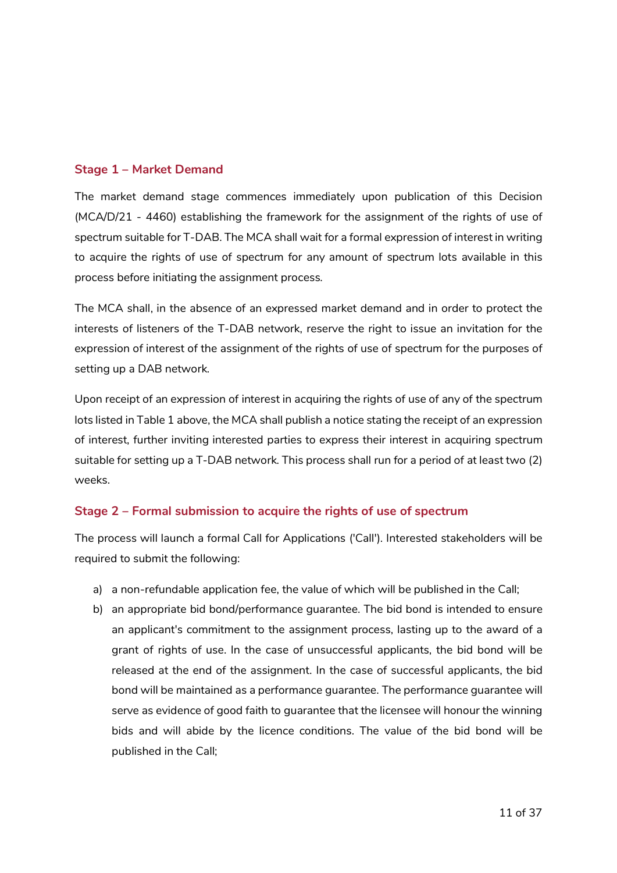#### **Stage 1 – Market Demand**

The market demand stage commences immediately upon publication of this Decision (MCA/D/21 - 4460) establishing the framework for the assignment of the rights of use of spectrum suitable for T-DAB. The MCA shall wait for a formal expression of interest in writing to acquire the rights of use of spectrum for any amount of spectrum lots available in this process before initiating the assignment process.

The MCA shall, in the absence of an expressed market demand and in order to protect the interests of listeners of the T-DAB network, reserve the right to issue an invitation for the expression of interest of the assignment of the rights of use of spectrum for the purposes of setting up a DAB network.

Upon receipt of an expression of interest in acquiring the rights of use of any of the spectrum lots listed in Table 1 above, the MCA shall publish a notice stating the receipt of an expression of interest, further inviting interested parties to express their interest in acquiring spectrum suitable for setting up a T-DAB network. This process shall run for a period of at least two (2) weeks.

#### **Stage 2 – Formal submission to acquire the rights of use of spectrum**

The process will launch a formal Call for Applications ('Call'). Interested stakeholders will be required to submit the following:

- a) a non-refundable application fee, the value of which will be published in the Call;
- b) an appropriate bid bond/performance guarantee. The bid bond is intended to ensure an applicant's commitment to the assignment process, lasting up to the award of a grant of rights of use. In the case of unsuccessful applicants, the bid bond will be released at the end of the assignment. In the case of successful applicants, the bid bond will be maintained as a performance guarantee. The performance guarantee will serve as evidence of good faith to guarantee that the licensee will honour the winning bids and will abide by the licence conditions. The value of the bid bond will be published in the Call;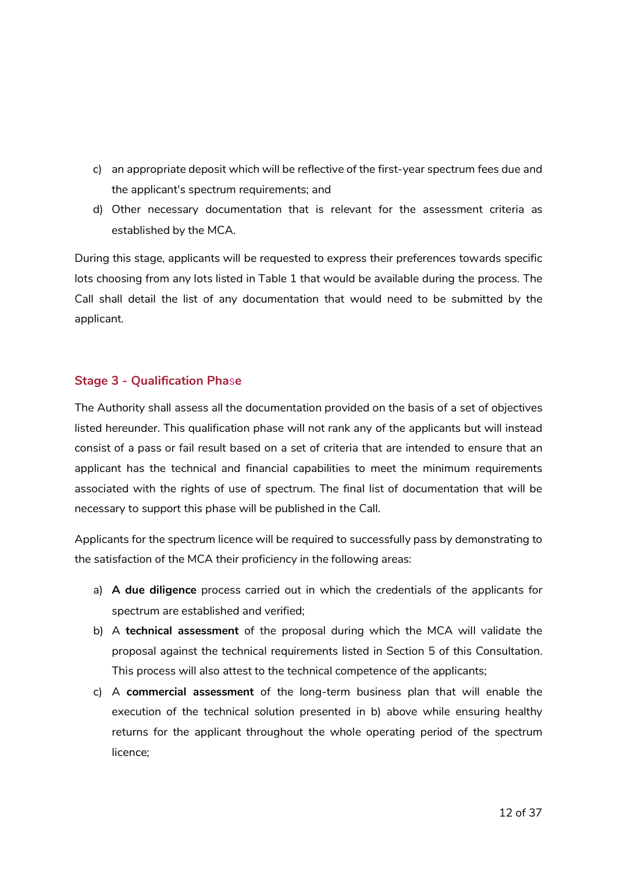- c) an appropriate deposit which will be reflective of the first-year spectrum fees due and the applicant's spectrum requirements; and
- d) Other necessary documentation that is relevant for the assessment criteria as established by the MCA.

During this stage, applicants will be requested to express their preferences towards specific lots choosing from any lots listed in Table 1 that would be available during the process. The Call shall detail the list of any documentation that would need to be submitted by the applicant.

#### **Stage 3 - Qualification Pha**s**e**

The Authority shall assess all the documentation provided on the basis of a set of objectives listed hereunder. This qualification phase will not rank any of the applicants but will instead consist of a pass or fail result based on a set of criteria that are intended to ensure that an applicant has the technical and financial capabilities to meet the minimum requirements associated with the rights of use of spectrum. The final list of documentation that will be necessary to support this phase will be published in the Call.

Applicants for the spectrum licence will be required to successfully pass by demonstrating to the satisfaction of the MCA their proficiency in the following areas:

- a) **A due diligence** process carried out in which the credentials of the applicants for spectrum are established and verified;
- b) A **technical assessment** of the proposal during which the MCA will validate the proposal against the technical requirements listed in Section 5 of this Consultation. This process will also attest to the technical competence of the applicants;
- c) A **commercial assessment** of the long-term business plan that will enable the execution of the technical solution presented in b) above while ensuring healthy returns for the applicant throughout the whole operating period of the spectrum licence;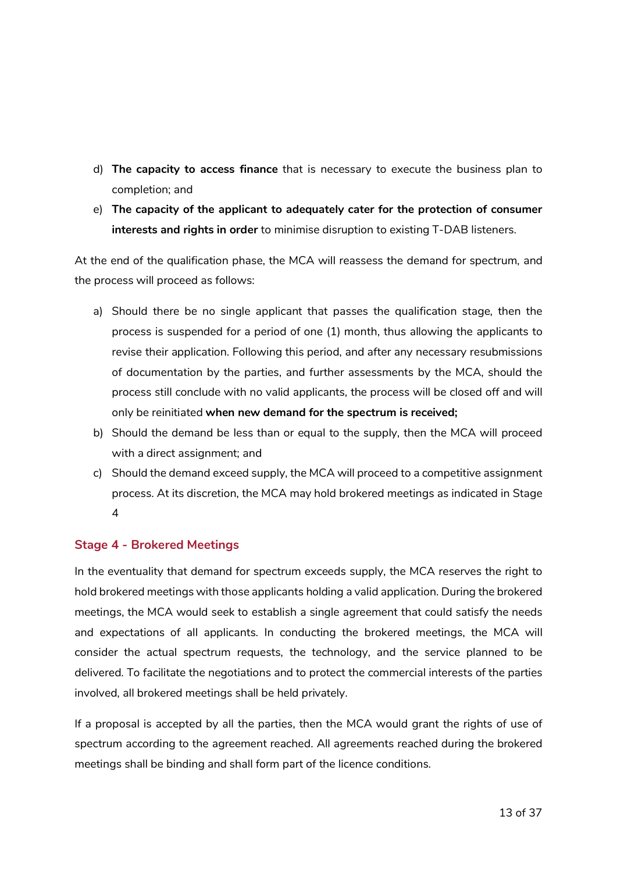- d) **The capacity to access finance** that is necessary to execute the business plan to completion; and
- e) **The capacity of the applicant to adequately cater for the protection of consumer interests and rights in order** to minimise disruption to existing T-DAB listeners.

At the end of the qualification phase, the MCA will reassess the demand for spectrum, and the process will proceed as follows:

- a) Should there be no single applicant that passes the qualification stage, then the process is suspended for a period of one (1) month, thus allowing the applicants to revise their application. Following this period, and after any necessary resubmissions of documentation by the parties, and further assessments by the MCA, should the process still conclude with no valid applicants, the process will be closed off and will only be reinitiated **when new demand for the spectrum is received;**
- b) Should the demand be less than or equal to the supply, then the MCA will proceed with a direct assignment; and
- c) Should the demand exceed supply, the MCA will proceed to a competitive assignment process. At its discretion, the MCA may hold brokered meetings as indicated in Stage 4

### **Stage 4 - Brokered Meetings**

In the eventuality that demand for spectrum exceeds supply, the MCA reserves the right to hold brokered meetings with those applicants holding a valid application. During the brokered meetings, the MCA would seek to establish a single agreement that could satisfy the needs and expectations of all applicants. In conducting the brokered meetings, the MCA will consider the actual spectrum requests, the technology, and the service planned to be delivered. To facilitate the negotiations and to protect the commercial interests of the parties involved, all brokered meetings shall be held privately.

If a proposal is accepted by all the parties, then the MCA would grant the rights of use of spectrum according to the agreement reached. All agreements reached during the brokered meetings shall be binding and shall form part of the licence conditions.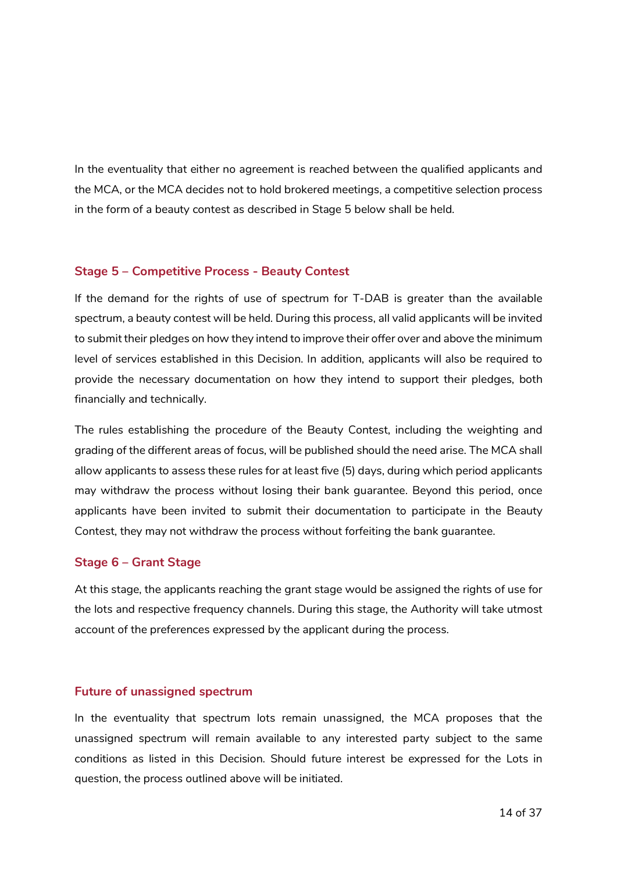In the eventuality that either no agreement is reached between the qualified applicants and the MCA, or the MCA decides not to hold brokered meetings, a competitive selection process in the form of a beauty contest as described in Stage 5 below shall be held.

#### **Stage 5 – Competitive Process - Beauty Contest**

If the demand for the rights of use of spectrum for T-DAB is greater than the available spectrum, a beauty contest will be held. During this process, all valid applicants will be invited to submit their pledges on how they intend to improve their offer over and above the minimum level of services established in this Decision. In addition, applicants will also be required to provide the necessary documentation on how they intend to support their pledges, both financially and technically.

The rules establishing the procedure of the Beauty Contest, including the weighting and grading of the different areas of focus, will be published should the need arise. The MCA shall allow applicants to assess these rules for at least five (5) days, during which period applicants may withdraw the process without losing their bank guarantee. Beyond this period, once applicants have been invited to submit their documentation to participate in the Beauty Contest, they may not withdraw the process without forfeiting the bank guarantee.

#### **Stage 6 – Grant Stage**

At this stage, the applicants reaching the grant stage would be assigned the rights of use for the lots and respective frequency channels. During this stage, the Authority will take utmost account of the preferences expressed by the applicant during the process.

#### **Future of unassigned spectrum**

In the eventuality that spectrum lots remain unassigned, the MCA proposes that the unassigned spectrum will remain available to any interested party subject to the same conditions as listed in this Decision. Should future interest be expressed for the Lots in question, the process outlined above will be initiated.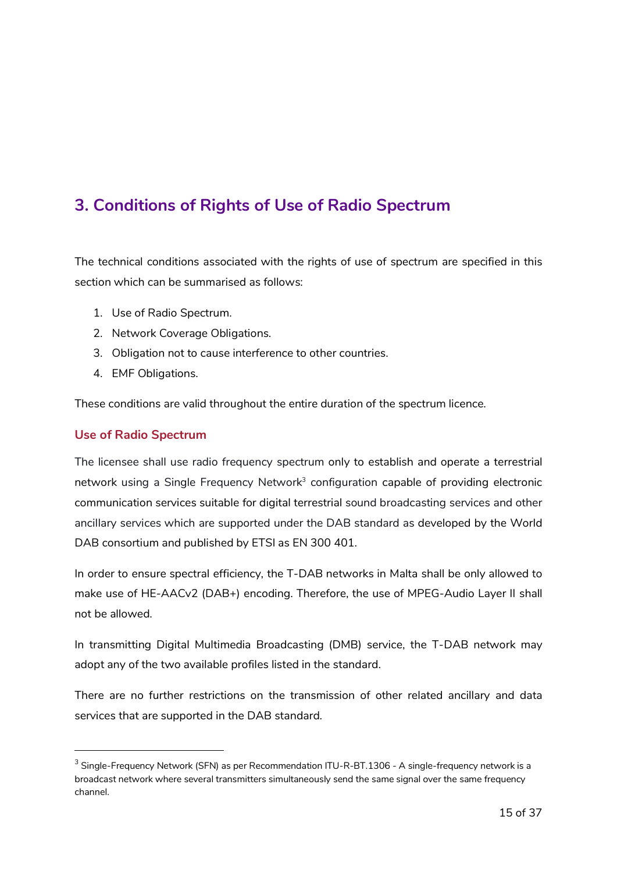# **3. Conditions of Rights of Use of Radio Spectrum**

The technical conditions associated with the rights of use of spectrum are specified in this section which can be summarised as follows:

- 1. Use of Radio Spectrum.
- 2. Network Coverage Obligations.
- 3. Obligation not to cause interference to other countries.
- 4. EMF Obligations.

These conditions are valid throughout the entire duration of the spectrum licence.

#### **Use of Radio Spectrum**

-

The licensee shall use radio frequency spectrum only to establish and operate a terrestrial network using a Single Frequency Network<sup>3</sup> configuration capable of providing electronic communication services suitable for digital terrestrial sound broadcasting services and other ancillary services which are supported under the DAB standard as developed by the World DAB consortium and published by ETSI as EN 300 401.

In order to ensure spectral efficiency, the T-DAB networks in Malta shall be only allowed to make use of HE-AACv2 (DAB+) encoding. Therefore, the use of MPEG-Audio Layer II shall not be allowed.

In transmitting Digital Multimedia Broadcasting (DMB) service, the T-DAB network may adopt any of the two available profiles listed in the standard.

There are no further restrictions on the transmission of other related ancillary and data services that are supported in the DAB standard.

 $^3$  Single-Frequency Network (SFN) as per Recommendation ITU-R-BT.1306 - A single-frequency network is a broadcast network where several transmitters simultaneously send the same signal over the same frequency channel.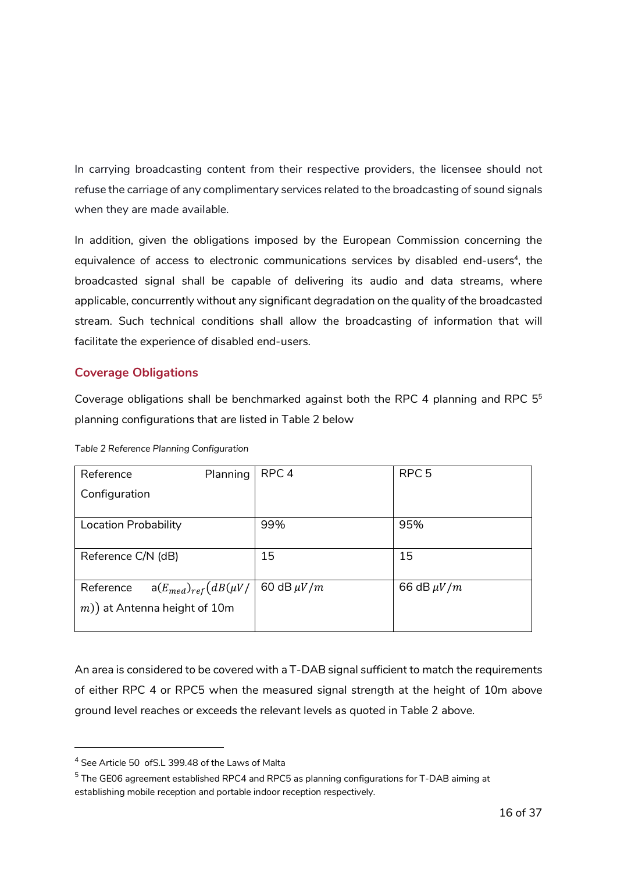In carrying broadcasting content from their respective providers, the licensee should not refuse the carriage of any complimentary services related to the broadcasting of sound signals when they are made available.

In addition, given the obligations imposed by the European Commission concerning the equivalence of access to electronic communications services by disabled end-users<sup>4</sup>, the broadcasted signal shall be capable of delivering its audio and data streams, where applicable, concurrently without any significant degradation on the quality of the broadcasted stream. Such technical conditions shall allow the broadcasting of information that will facilitate the experience of disabled end-users.

### **Coverage Obligations**

Coverage obligations shall be benchmarked against both the RPC 4 planning and RPC 55 planning configurations that are listed in Table 2 below

| Reference                                 | Planning | RPC <sub>4</sub> | RPC <sub>5</sub> |
|-------------------------------------------|----------|------------------|------------------|
| Configuration                             |          |                  |                  |
|                                           |          |                  |                  |
| Location Probability                      |          | 99%              | 95%              |
|                                           |          |                  |                  |
| Reference C/N (dB)                        |          | 15               | 15               |
|                                           |          |                  |                  |
| $a(E_{med})_{ref}(dB(\mu V)$<br>Reference |          | 60 dB $\mu V/m$  | 66 dB $\mu V/m$  |
| $(m)$ ) at Antenna height of 10m          |          |                  |                  |
|                                           |          |                  |                  |

*Table 2 Reference Planning Configuration* 

An area is considered to be covered with a T-DAB signal sufficient to match the requirements of either RPC 4 or RPC5 when the measured signal strength at the height of 10m above ground level reaches or exceeds the relevant levels as quoted in Table 2 above.

-

<sup>4</sup> See Article 50 ofS.L 399.48 of the Laws of Malta

 $^5$  The GE06 agreement established RPC4 and RPC5 as planning configurations for T-DAB aiming at establishing mobile reception and portable indoor reception respectively.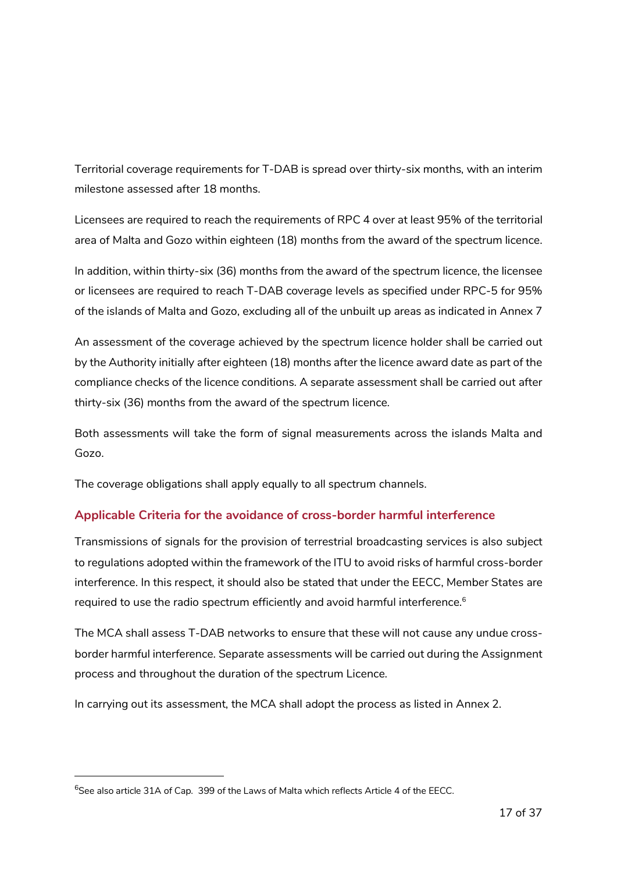Territorial coverage requirements for T-DAB is spread over thirty-six months, with an interim milestone assessed after 18 months.

Licensees are required to reach the requirements of RPC 4 over at least 95% of the territorial area of Malta and Gozo within eighteen (18) months from the award of the spectrum licence.

In addition, within thirty-six (36) months from the award of the spectrum licence, the licensee or licensees are required to reach T-DAB coverage levels as specified under RPC-5 for 95% of the islands of Malta and Gozo, excluding all of the unbuilt up areas as indicated in Annex 7

An assessment of the coverage achieved by the spectrum licence holder shall be carried out by the Authority initially after eighteen (18) months after the licence award date as part of the compliance checks of the licence conditions. A separate assessment shall be carried out after thirty-six (36) months from the award of the spectrum licence.

Both assessments will take the form of signal measurements across the islands Malta and Gozo.

The coverage obligations shall apply equally to all spectrum channels.

### **Applicable Criteria for the avoidance of cross-border harmful interference**

Transmissions of signals for the provision of terrestrial broadcasting services is also subject to regulations adopted within the framework of the ITU to avoid risks of harmful cross-border interference. In this respect, it should also be stated that under the EECC, Member States are required to use the radio spectrum efficiently and avoid harmful interference.<sup>6</sup>

The MCA shall assess T-DAB networks to ensure that these will not cause any undue crossborder harmful interference. Separate assessments will be carried out during the Assignment process and throughout the duration of the spectrum Licence.

In carrying out its assessment, the MCA shall adopt the process as listed in Annex 2.

-

 $^6$ See also article 31A of Cap. 399 of the Laws of Malta which reflects Article 4 of the EECC.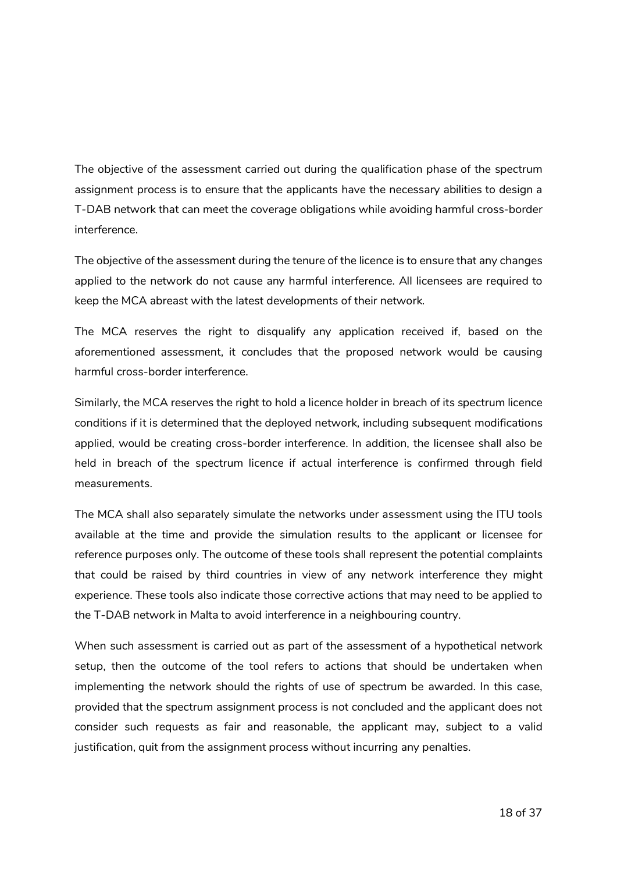The objective of the assessment carried out during the qualification phase of the spectrum assignment process is to ensure that the applicants have the necessary abilities to design a T-DAB network that can meet the coverage obligations while avoiding harmful cross-border interference.

The objective of the assessment during the tenure of the licence is to ensure that any changes applied to the network do not cause any harmful interference. All licensees are required to keep the MCA abreast with the latest developments of their network.

The MCA reserves the right to disqualify any application received if, based on the aforementioned assessment, it concludes that the proposed network would be causing harmful cross-border interference.

Similarly, the MCA reserves the right to hold a licence holder in breach of its spectrum licence conditions if it is determined that the deployed network, including subsequent modifications applied, would be creating cross-border interference. In addition, the licensee shall also be held in breach of the spectrum licence if actual interference is confirmed through field measurements.

The MCA shall also separately simulate the networks under assessment using the ITU tools available at the time and provide the simulation results to the applicant or licensee for reference purposes only. The outcome of these tools shall represent the potential complaints that could be raised by third countries in view of any network interference they might experience. These tools also indicate those corrective actions that may need to be applied to the T-DAB network in Malta to avoid interference in a neighbouring country.

When such assessment is carried out as part of the assessment of a hypothetical network setup, then the outcome of the tool refers to actions that should be undertaken when implementing the network should the rights of use of spectrum be awarded. In this case, provided that the spectrum assignment process is not concluded and the applicant does not consider such requests as fair and reasonable, the applicant may, subject to a valid justification, quit from the assignment process without incurring any penalties.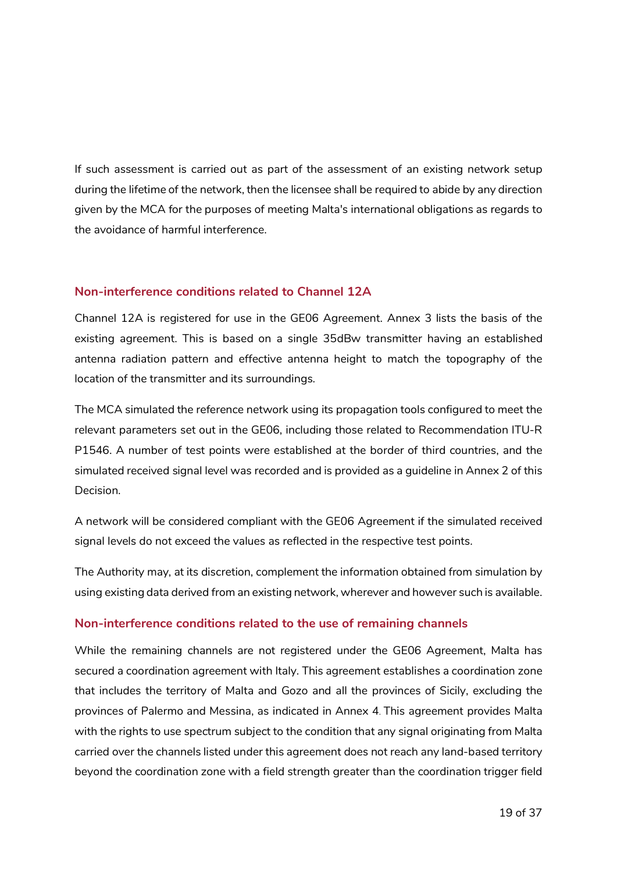If such assessment is carried out as part of the assessment of an existing network setup during the lifetime of the network, then the licensee shall be required to abide by any direction given by the MCA for the purposes of meeting Malta's international obligations as regards to the avoidance of harmful interference.

#### **Non-interference conditions related to Channel 12A**

Channel 12A is registered for use in the GE06 Agreement. Annex 3 lists the basis of the existing agreement. This is based on a single 35dBw transmitter having an established antenna radiation pattern and effective antenna height to match the topography of the location of the transmitter and its surroundings.

The MCA simulated the reference network using its propagation tools configured to meet the relevant parameters set out in the GE06, including those related to Recommendation ITU-R P1546. A number of test points were established at the border of third countries, and the simulated received signal level was recorded and is provided as a guideline in Annex 2 of this Decision.

A network will be considered compliant with the GE06 Agreement if the simulated received signal levels do not exceed the values as reflected in the respective test points.

The Authority may, at its discretion, complement the information obtained from simulation by using existing data derived from an existing network, wherever and however such is available.

#### **Non-interference conditions related to the use of remaining channels**

While the remaining channels are not registered under the GE06 Agreement, Malta has secured a coordination agreement with Italy. This agreement establishes a coordination zone that includes the territory of Malta and Gozo and all the provinces of Sicily, excluding the provinces of Palermo and Messina, as indicated in Annex 4. This agreement provides Malta with the rights to use spectrum subject to the condition that any signal originating from Malta carried over the channels listed under this agreement does not reach any land-based territory beyond the coordination zone with a field strength greater than the coordination trigger field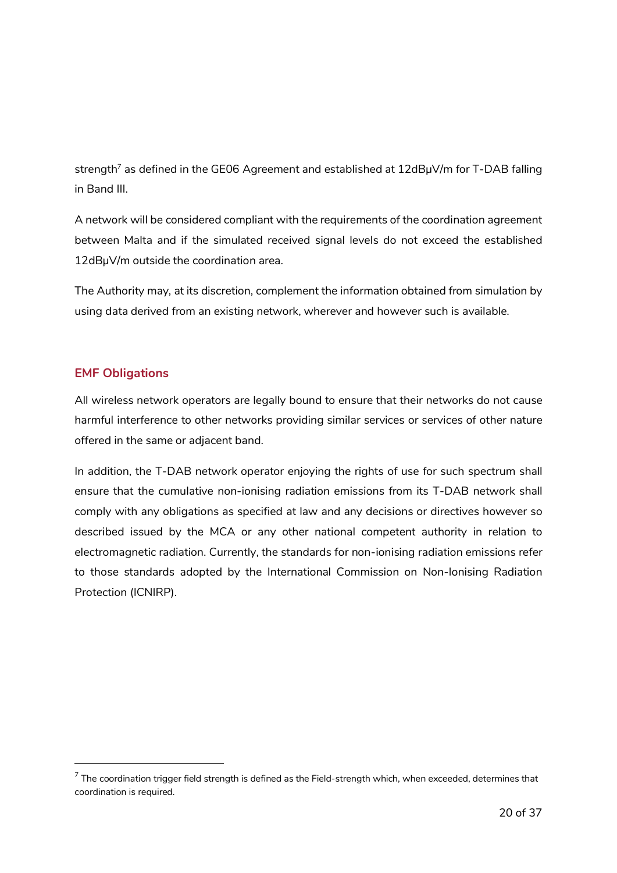strength<sup>7</sup> as defined in the GE06 Agreement and established at  $12$ dBµV/m for T-DAB falling in Band III.

A network will be considered compliant with the requirements of the coordination agreement between Malta and if the simulated received signal levels do not exceed the established 12dBµV/m outside the coordination area.

The Authority may, at its discretion, complement the information obtained from simulation by using data derived from an existing network, wherever and however such is available.

### **EMF Obligations**

-

All wireless network operators are legally bound to ensure that their networks do not cause harmful interference to other networks providing similar services or services of other nature offered in the same or adjacent band.

In addition, the T-DAB network operator enjoying the rights of use for such spectrum shall ensure that the cumulative non-ionising radiation emissions from its T-DAB network shall comply with any obligations as specified at law and any decisions or directives however so described issued by the MCA or any other national competent authority in relation to electromagnetic radiation. Currently, the standards for non-ionising radiation emissions refer to those standards adopted by the International Commission on Non-Ionising Radiation Protection (ICNIRP).

 $^7$  The coordination trigger field strength is defined as the Field-strength which, when exceeded, determines that coordination is required.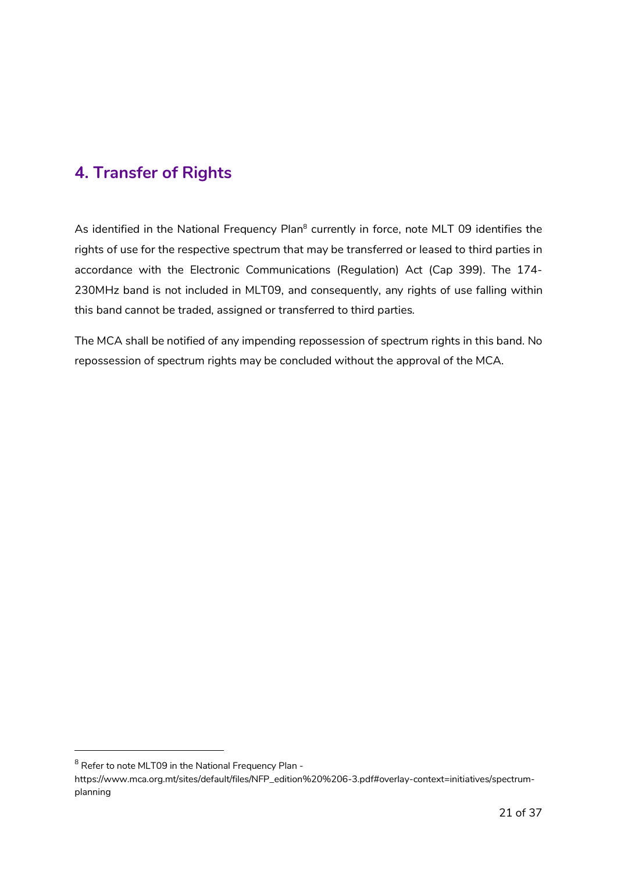# **4. Transfer of Rights**

As identified in the National Frequency Plan<sup>8</sup> currently in force, note MLT 09 identifies the rights of use for the respective spectrum that may be transferred or leased to third parties in accordance with the Electronic Communications (Regulation) Act (Cap 399). The 174- 230MHz band is not included in MLT09, and consequently, any rights of use falling within this band cannot be traded, assigned or transferred to third parties.

The MCA shall be notified of any impending repossession of spectrum rights in this band. No repossession of spectrum rights may be concluded without the approval of the MCA.

-

<sup>&</sup>lt;sup>8</sup> Refer to note MLT09 in the National Frequency Plan -

https://www.mca.org.mt/sites/default/files/NFP\_edition%20%206-3.pdf#overlay-context=initiatives/spectrumplanning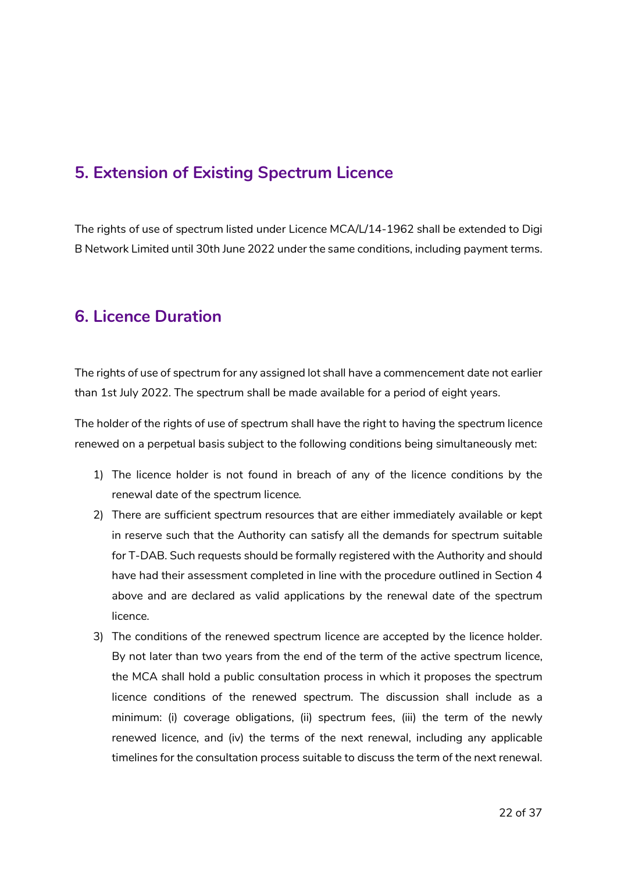# **5. Extension of Existing Spectrum Licence**

The rights of use of spectrum listed under Licence MCA/L/14-1962 shall be extended to Digi B Network Limited until 30th June 2022 under the same conditions, including payment terms.

## **6. Licence Duration**

The rights of use of spectrum for any assigned lot shall have a commencement date not earlier than 1st July 2022. The spectrum shall be made available for a period of eight years.

The holder of the rights of use of spectrum shall have the right to having the spectrum licence renewed on a perpetual basis subject to the following conditions being simultaneously met:

- 1) The licence holder is not found in breach of any of the licence conditions by the renewal date of the spectrum licence.
- 2) There are sufficient spectrum resources that are either immediately available or kept in reserve such that the Authority can satisfy all the demands for spectrum suitable for T-DAB. Such requests should be formally registered with the Authority and should have had their assessment completed in line with the procedure outlined in Section 4 above and are declared as valid applications by the renewal date of the spectrum licence.
- 3) The conditions of the renewed spectrum licence are accepted by the licence holder. By not later than two years from the end of the term of the active spectrum licence, the MCA shall hold a public consultation process in which it proposes the spectrum licence conditions of the renewed spectrum. The discussion shall include as a minimum: (i) coverage obligations, (ii) spectrum fees, (iii) the term of the newly renewed licence, and (iv) the terms of the next renewal, including any applicable timelines for the consultation process suitable to discuss the term of the next renewal.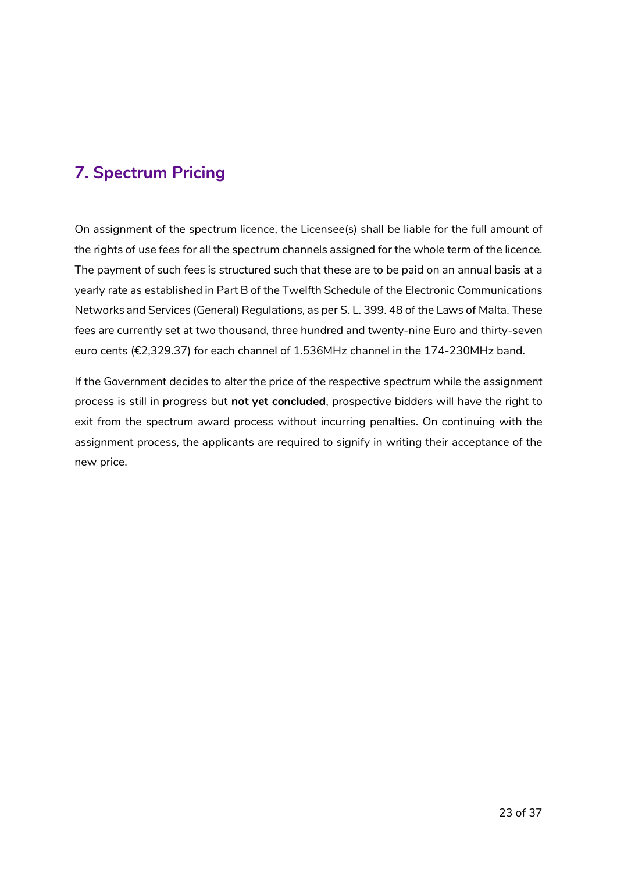# **7. Spectrum Pricing**

On assignment of the spectrum licence, the Licensee(s) shall be liable for the full amount of the rights of use fees for all the spectrum channels assigned for the whole term of the licence. The payment of such fees is structured such that these are to be paid on an annual basis at a yearly rate as established in Part B of the Twelfth Schedule of the Electronic Communications Networks and Services (General) Regulations, as per S. L. 399. 48 of the Laws of Malta. These fees are currently set at two thousand, three hundred and twenty-nine Euro and thirty-seven euro cents (€2,329.37) for each channel of 1.536MHz channel in the 174-230MHz band.

If the Government decides to alter the price of the respective spectrum while the assignment process is still in progress but **not yet concluded**, prospective bidders will have the right to exit from the spectrum award process without incurring penalties. On continuing with the assignment process, the applicants are required to signify in writing their acceptance of the new price.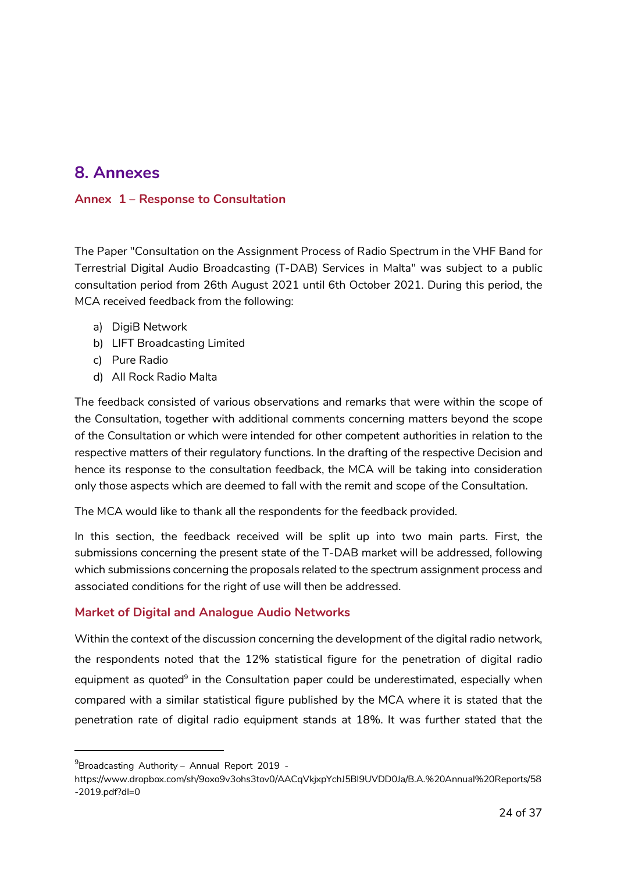# **8. Annexes**

#### **Annex 1 – Response to Consultation**

The Paper "Consultation on the Assignment Process of Radio Spectrum in the VHF Band for Terrestrial Digital Audio Broadcasting (T-DAB) Services in Malta" was subject to a public consultation period from 26th August 2021 until 6th October 2021. During this period, the MCA received feedback from the following:

- a) DigiB Network
- b) LIFT Broadcasting Limited
- c) Pure Radio
- d) All Rock Radio Malta

The feedback consisted of various observations and remarks that were within the scope of the Consultation, together with additional comments concerning matters beyond the scope of the Consultation or which were intended for other competent authorities in relation to the respective matters of their regulatory functions. In the drafting of the respective Decision and hence its response to the consultation feedback, the MCA will be taking into consideration only those aspects which are deemed to fall with the remit and scope of the Consultation.

The MCA would like to thank all the respondents for the feedback provided.

In this section, the feedback received will be split up into two main parts. First, the submissions concerning the present state of the T-DAB market will be addressed, following which submissions concerning the proposals related to the spectrum assignment process and associated conditions for the right of use will then be addressed.

#### **Market of Digital and Analogue Audio Networks**

Within the context of the discussion concerning the development of the digital radio network, the respondents noted that the 12% statistical figure for the penetration of digital radio equipment as quoted<sup>9</sup> in the Consultation paper could be underestimated, especially when compared with a similar statistical figure published by the MCA where it is stated that the penetration rate of digital radio equipment stands at 18%. It was further stated that the

-

<sup>9</sup> Broadcasting Authority – Annual Report 2019 -

https://www.dropbox.com/sh/9oxo9v3ohs3tov0/AACqVkjxpYchJ5BI9UVDD0Ja/B.A.%20Annual%20Reports/58 -2019.pdf?dl=0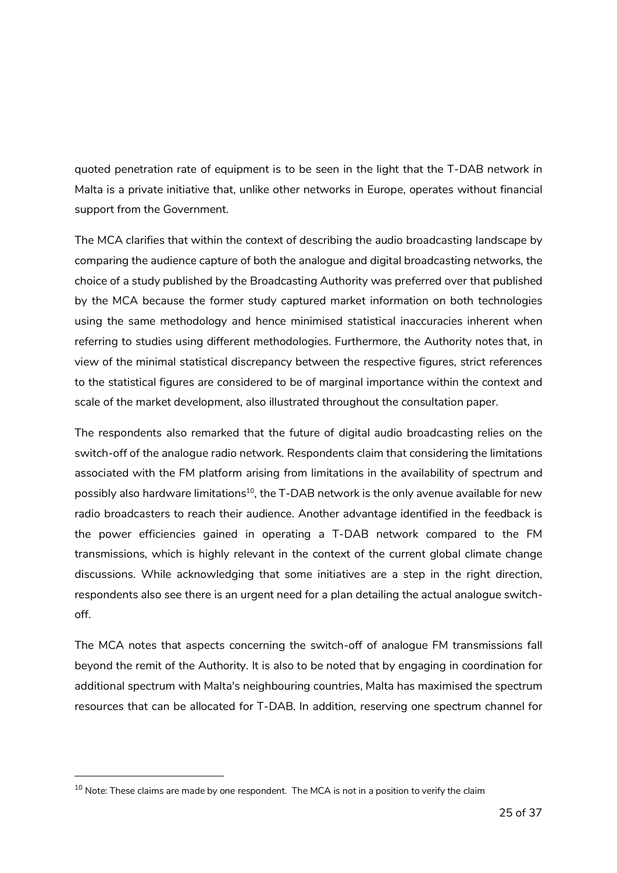quoted penetration rate of equipment is to be seen in the light that the T-DAB network in Malta is a private initiative that, unlike other networks in Europe, operates without financial support from the Government.

The MCA clarifies that within the context of describing the audio broadcasting landscape by comparing the audience capture of both the analogue and digital broadcasting networks, the choice of a study published by the Broadcasting Authority was preferred over that published by the MCA because the former study captured market information on both technologies using the same methodology and hence minimised statistical inaccuracies inherent when referring to studies using different methodologies. Furthermore, the Authority notes that, in view of the minimal statistical discrepancy between the respective figures, strict references to the statistical figures are considered to be of marginal importance within the context and scale of the market development, also illustrated throughout the consultation paper.

The respondents also remarked that the future of digital audio broadcasting relies on the switch-off of the analogue radio network. Respondents claim that considering the limitations associated with the FM platform arising from limitations in the availability of spectrum and possibly also hardware limitations<sup>10</sup>, the T-DAB network is the only avenue available for new radio broadcasters to reach their audience. Another advantage identified in the feedback is the power efficiencies gained in operating a T-DAB network compared to the FM transmissions, which is highly relevant in the context of the current global climate change discussions. While acknowledging that some initiatives are a step in the right direction, respondents also see there is an urgent need for a plan detailing the actual analogue switchoff.

The MCA notes that aspects concerning the switch-off of analogue FM transmissions fall beyond the remit of the Authority. It is also to be noted that by engaging in coordination for additional spectrum with Malta's neighbouring countries, Malta has maximised the spectrum resources that can be allocated for T-DAB. In addition, reserving one spectrum channel for

-

 $10$  Note: These claims are made by one respondent. The MCA is not in a position to verify the claim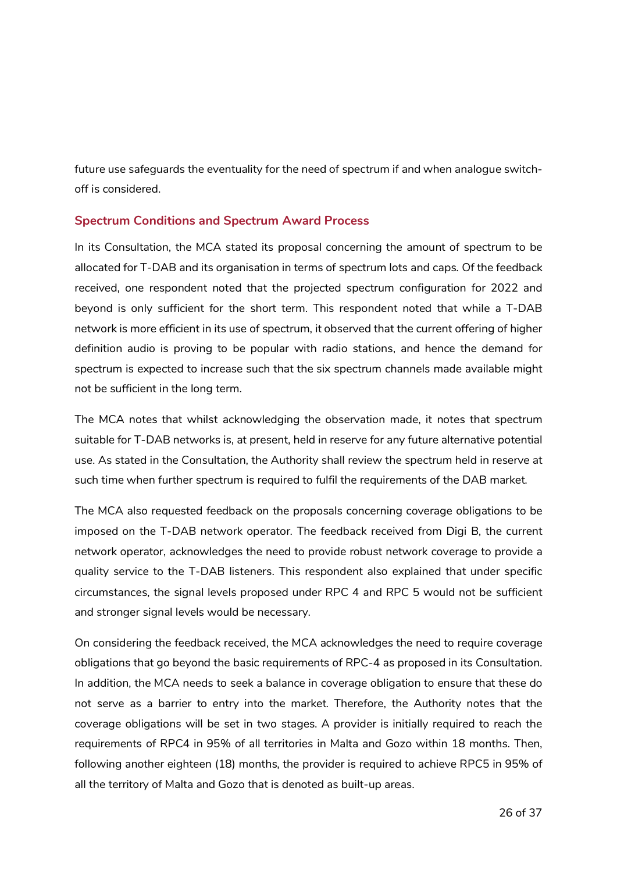future use safeguards the eventuality for the need of spectrum if and when analogue switchoff is considered.

#### **Spectrum Conditions and Spectrum Award Process**

In its Consultation, the MCA stated its proposal concerning the amount of spectrum to be allocated for T-DAB and its organisation in terms of spectrum lots and caps. Of the feedback received, one respondent noted that the projected spectrum configuration for 2022 and beyond is only sufficient for the short term. This respondent noted that while a T-DAB network is more efficient in its use of spectrum, it observed that the current offering of higher definition audio is proving to be popular with radio stations, and hence the demand for spectrum is expected to increase such that the six spectrum channels made available might not be sufficient in the long term.

The MCA notes that whilst acknowledging the observation made, it notes that spectrum suitable for T-DAB networks is, at present, held in reserve for any future alternative potential use. As stated in the Consultation, the Authority shall review the spectrum held in reserve at such time when further spectrum is required to fulfil the requirements of the DAB market.

The MCA also requested feedback on the proposals concerning coverage obligations to be imposed on the T-DAB network operator. The feedback received from Digi B, the current network operator, acknowledges the need to provide robust network coverage to provide a quality service to the T-DAB listeners. This respondent also explained that under specific circumstances, the signal levels proposed under RPC 4 and RPC 5 would not be sufficient and stronger signal levels would be necessary.

On considering the feedback received, the MCA acknowledges the need to require coverage obligations that go beyond the basic requirements of RPC-4 as proposed in its Consultation. In addition, the MCA needs to seek a balance in coverage obligation to ensure that these do not serve as a barrier to entry into the market. Therefore, the Authority notes that the coverage obligations will be set in two stages. A provider is initially required to reach the requirements of RPC4 in 95% of all territories in Malta and Gozo within 18 months. Then, following another eighteen (18) months, the provider is required to achieve RPC5 in 95% of all the territory of Malta and Gozo that is denoted as built-up areas.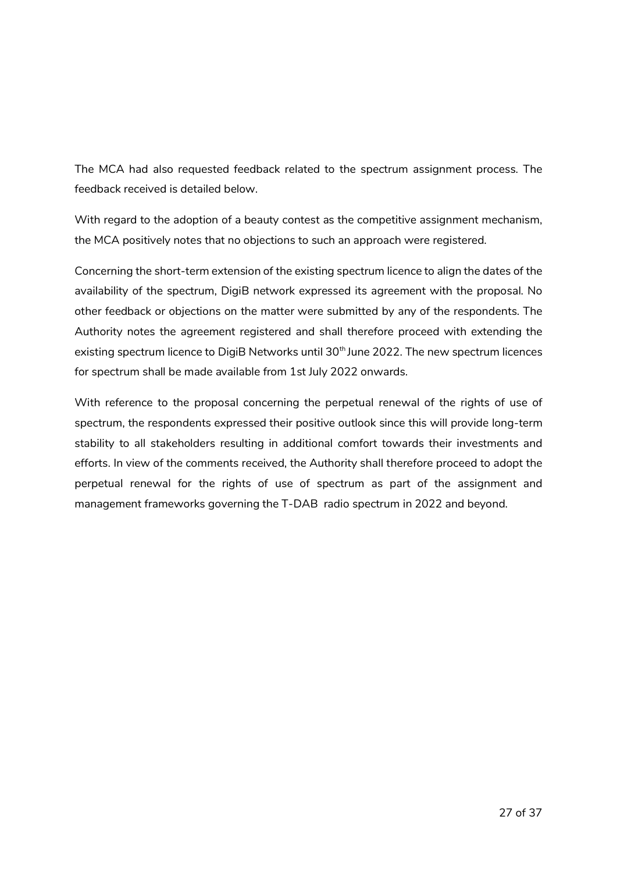The MCA had also requested feedback related to the spectrum assignment process. The feedback received is detailed below.

With regard to the adoption of a beauty contest as the competitive assignment mechanism, the MCA positively notes that no objections to such an approach were registered.

Concerning the short-term extension of the existing spectrum licence to align the dates of the availability of the spectrum, DigiB network expressed its agreement with the proposal. No other feedback or objections on the matter were submitted by any of the respondents. The Authority notes the agreement registered and shall therefore proceed with extending the existing spectrum licence to DigiB Networks until 30<sup>th</sup> June 2022. The new spectrum licences for spectrum shall be made available from 1st July 2022 onwards.

With reference to the proposal concerning the perpetual renewal of the rights of use of spectrum, the respondents expressed their positive outlook since this will provide long-term stability to all stakeholders resulting in additional comfort towards their investments and efforts. In view of the comments received, the Authority shall therefore proceed to adopt the perpetual renewal for the rights of use of spectrum as part of the assignment and management frameworks governing the T-DAB radio spectrum in 2022 and beyond.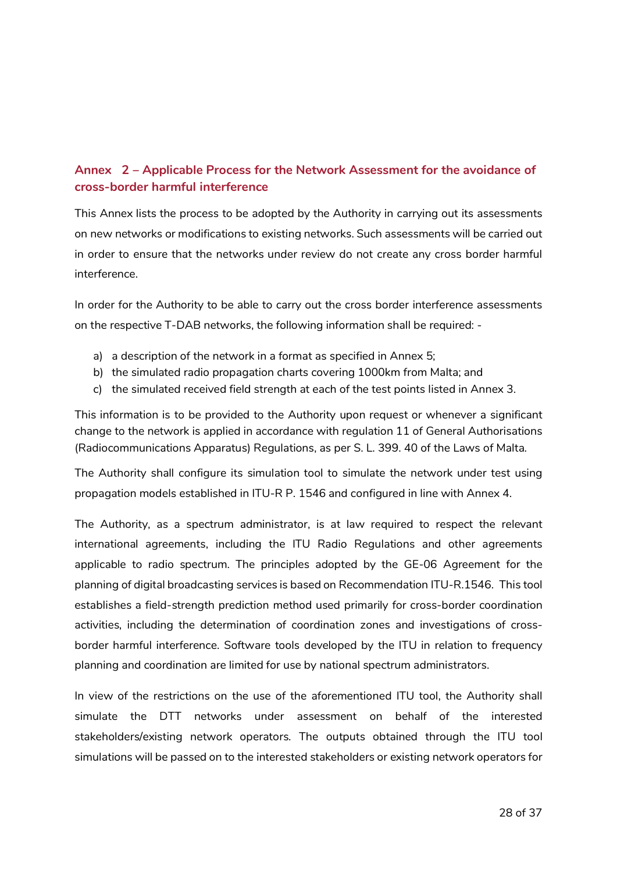### **Annex 2 – Applicable Process for the Network Assessment for the avoidance of cross-border harmful interference**

This Annex lists the process to be adopted by the Authority in carrying out its assessments on new networks or modifications to existing networks. Such assessments will be carried out in order to ensure that the networks under review do not create any cross border harmful interference.

In order for the Authority to be able to carry out the cross border interference assessments on the respective T-DAB networks, the following information shall be required: -

- a) a description of the network in a format as specified in Annex 5;
- b) the simulated radio propagation charts covering 1000km from Malta; and
- c) the simulated received field strength at each of the test points listed in Annex 3.

This information is to be provided to the Authority upon request or whenever a significant change to the network is applied in accordance with regulation 11 of General Authorisations (Radiocommunications Apparatus) Regulations, as per S. L. 399. 40 of the Laws of Malta.

The Authority shall configure its simulation tool to simulate the network under test using propagation models established in ITU-R P. 1546 and configured in line with Annex 4.

The Authority, as a spectrum administrator, is at law required to respect the relevant international agreements, including the ITU Radio Regulations and other agreements applicable to radio spectrum. The principles adopted by the GE-06 Agreement for the planning of digital broadcasting services is based on Recommendation ITU-R.1546. This tool establishes a field-strength prediction method used primarily for cross-border coordination activities, including the determination of coordination zones and investigations of crossborder harmful interference. Software tools developed by the ITU in relation to frequency planning and coordination are limited for use by national spectrum administrators.

In view of the restrictions on the use of the aforementioned ITU tool, the Authority shall simulate the DTT networks under assessment on behalf of the interested stakeholders/existing network operators. The outputs obtained through the ITU tool simulations will be passed on to the interested stakeholders or existing network operators for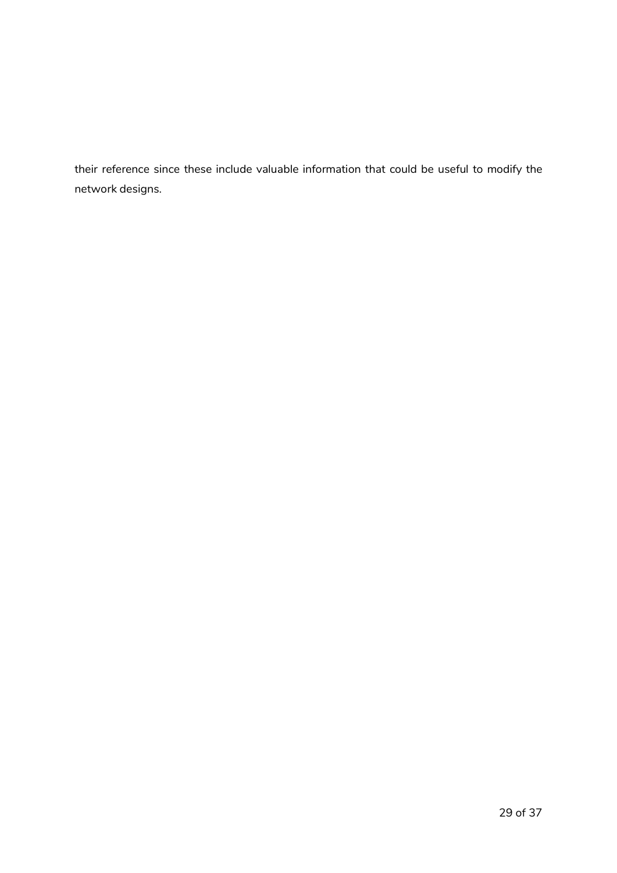their reference since these include valuable information that could be useful to modify the network designs.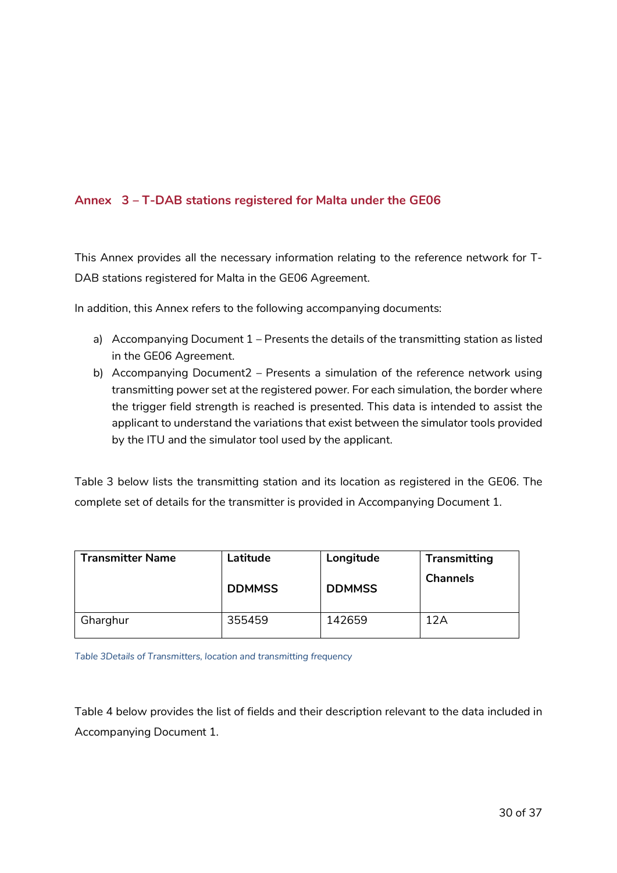### **Annex 3 – T-DAB stations registered for Malta under the GE06**

This Annex provides all the necessary information relating to the reference network for T-DAB stations registered for Malta in the GE06 Agreement.

In addition, this Annex refers to the following accompanying documents:

- a) Accompanying Document 1 Presents the details of the transmitting station as listed in the GE06 Agreement.
- b) Accompanying Document2 Presents a simulation of the reference network using transmitting power set at the registered power. For each simulation, the border where the trigger field strength is reached is presented. This data is intended to assist the applicant to understand the variations that exist between the simulator tools provided by the ITU and the simulator tool used by the applicant.

Table 3 below lists the transmitting station and its location as registered in the GE06. The complete set of details for the transmitter is provided in Accompanying Document 1.

| <b>Transmitter Name</b> | Latitude      | Longitude     | <b>Transmitting</b> |
|-------------------------|---------------|---------------|---------------------|
|                         | <b>DDMMSS</b> | <b>DDMMSS</b> | <b>Channels</b>     |
| Gharghur                | 355459        | 142659        | 12A                 |

*Table 3Details of Transmitters, location and transmitting frequency* 

Table 4 below provides the list of fields and their description relevant to the data included in Accompanying Document 1.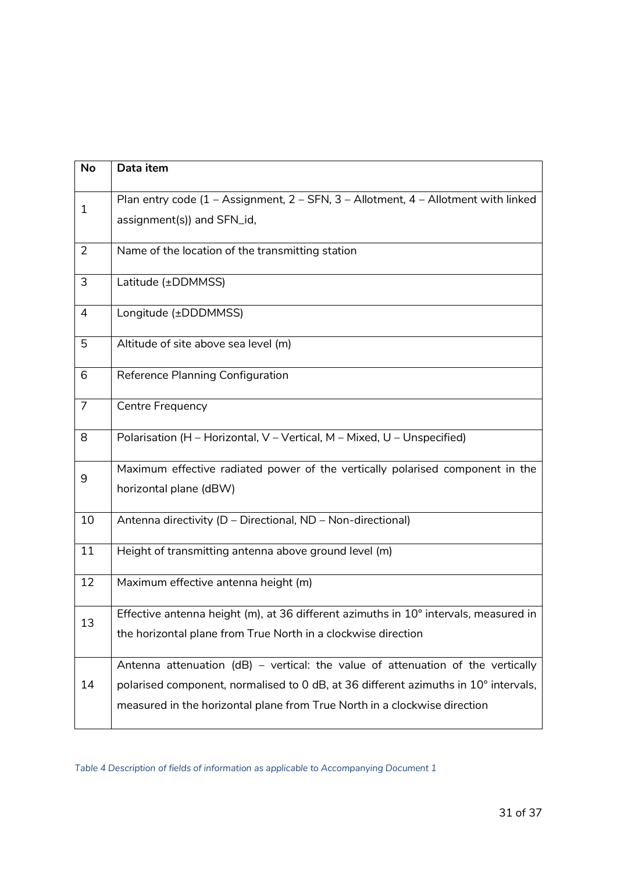| <b>No</b>      | Data item                                                                                                                                                                                                                                           |  |  |
|----------------|-----------------------------------------------------------------------------------------------------------------------------------------------------------------------------------------------------------------------------------------------------|--|--|
| $\mathbf{1}$   | Plan entry code (1 - Assignment, 2 - SFN, 3 - Allotment, 4 - Allotment with linked<br>assignment(s)) and SFN_id,                                                                                                                                    |  |  |
| $\overline{2}$ | Name of the location of the transmitting station                                                                                                                                                                                                    |  |  |
| 3              | Latitude (±DDMMSS)                                                                                                                                                                                                                                  |  |  |
| 4              | Longitude (±DDDMMSS)                                                                                                                                                                                                                                |  |  |
| 5              | Altitude of site above sea level (m)                                                                                                                                                                                                                |  |  |
| 6              | Reference Planning Configuration                                                                                                                                                                                                                    |  |  |
| $\overline{7}$ | <b>Centre Frequency</b>                                                                                                                                                                                                                             |  |  |
| 8              | Polarisation (H - Horizontal, V - Vertical, M - Mixed, U - Unspecified)                                                                                                                                                                             |  |  |
| 9              | Maximum effective radiated power of the vertically polarised component in the<br>horizontal plane (dBW)                                                                                                                                             |  |  |
| 10             | Antenna directivity (D - Directional, ND - Non-directional)                                                                                                                                                                                         |  |  |
| 11             | Height of transmitting antenna above ground level (m)                                                                                                                                                                                               |  |  |
| 12             | Maximum effective antenna height (m)                                                                                                                                                                                                                |  |  |
| 13             | Effective antenna height (m), at 36 different azimuths in 10° intervals, measured in<br>the horizontal plane from True North in a clockwise direction                                                                                               |  |  |
| 14             | Antenna attenuation (dB) – vertical: the value of attenuation of the vertically<br>polarised component, normalised to 0 dB, at 36 different azimuths in 10° intervals,<br>measured in the horizontal plane from True North in a clockwise direction |  |  |

*Table 4 Description of fields of information as applicable to Accompanying Document 1*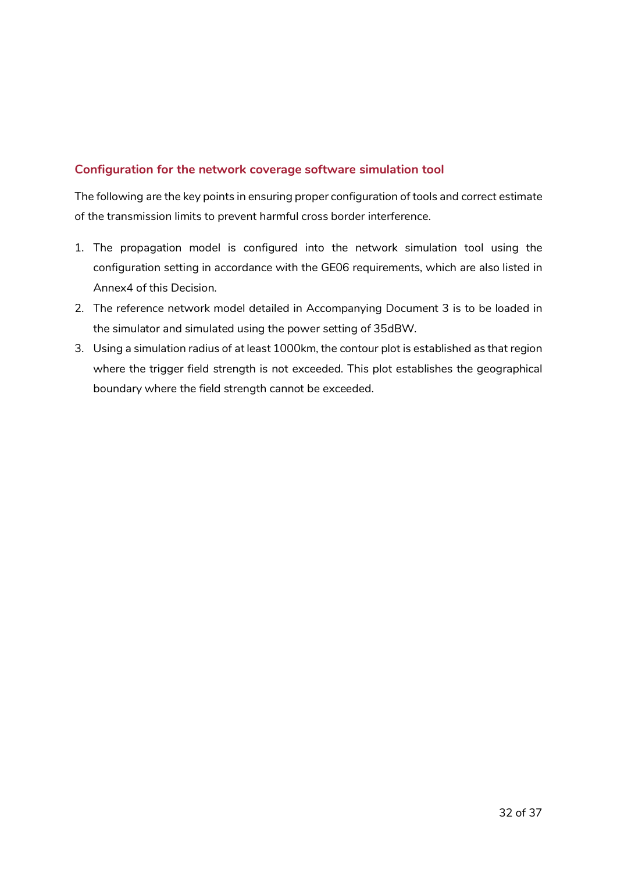#### **Configuration for the network coverage software simulation tool**

The following are the key points in ensuring proper configuration of tools and correct estimate of the transmission limits to prevent harmful cross border interference.

- 1. The propagation model is configured into the network simulation tool using the configuration setting in accordance with the GE06 requirements, which are also listed in Annex4 of this Decision.
- 2. The reference network model detailed in Accompanying Document 3 is to be loaded in the simulator and simulated using the power setting of 35dBW.
- 3. Using a simulation radius of at least 1000km, the contour plot is established as that region where the trigger field strength is not exceeded. This plot establishes the geographical boundary where the field strength cannot be exceeded.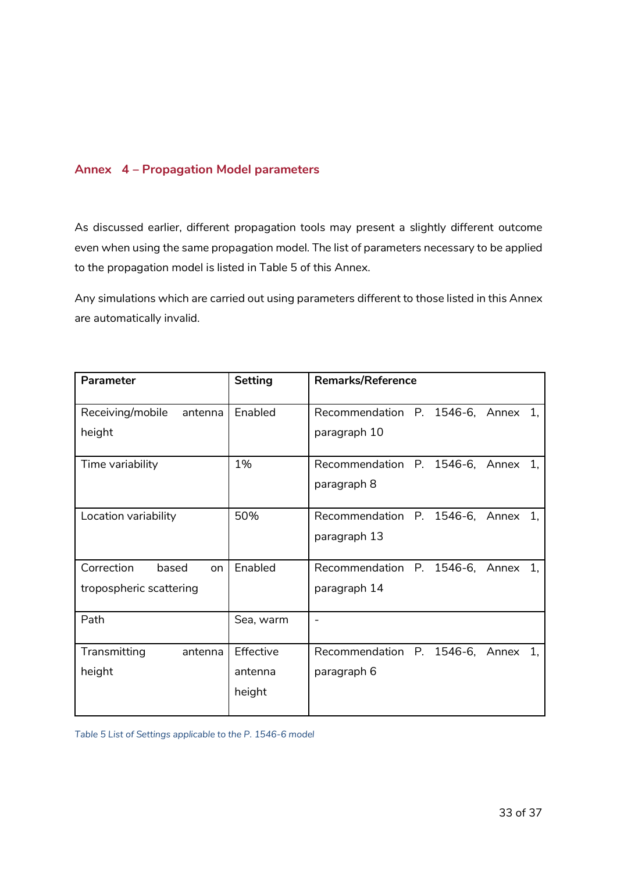#### **Annex 4 – Propagation Model parameters**

As discussed earlier, different propagation tools may present a slightly different outcome even when using the same propagation model. The list of parameters necessary to be applied to the propagation model is listed in Table 5 of this Annex.

Any simulations which are carried out using parameters different to those listed in this Annex are automatically invalid.

| Parameter                                            | <b>Setting</b>                 | <b>Remarks/Reference</b>                           |
|------------------------------------------------------|--------------------------------|----------------------------------------------------|
| Receiving/mobile<br>antenna<br>height                | Enabled                        | Recommendation P. 1546-6, Annex 1,<br>paragraph 10 |
| Time variability                                     | 1%                             | Recommendation P. 1546-6, Annex 1,<br>paragraph 8  |
| Location variability                                 | 50%                            | Recommendation P. 1546-6, Annex 1,<br>paragraph 13 |
| Correction<br>based<br>on<br>tropospheric scattering | Enabled                        | Recommendation P. 1546-6, Annex 1,<br>paragraph 14 |
| Path                                                 | Sea, warm                      | $\overline{\phantom{0}}$                           |
| Transmitting<br>antenna<br>height                    | Effective<br>antenna<br>height | Recommendation P. 1546-6, Annex 1,<br>paragraph 6  |

*Table 5 List of Settings applicable to the P. 1546-6 model*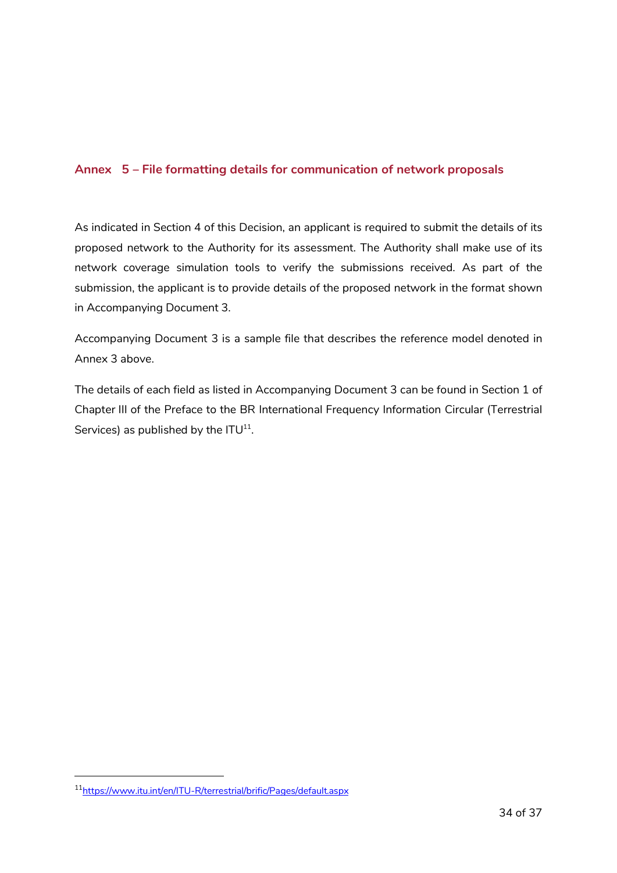#### **Annex 5 – File formatting details for communication of network proposals**

As indicated in Section 4 of this Decision, an applicant is required to submit the details of its proposed network to the Authority for its assessment. The Authority shall make use of its network coverage simulation tools to verify the submissions received. As part of the submission, the applicant is to provide details of the proposed network in the format shown in Accompanying Document 3.

Accompanying Document 3 is a sample file that describes the reference model denoted in Annex 3 above.

The details of each field as listed in Accompanying Document 3 can be found in Section 1 of Chapter III of the Preface to the BR International Frequency Information Circular (Terrestrial Services) as published by the  $ITU^{11}$ .

-

<sup>11</sup>https://www.itu.int/en/ITU-R/terrestrial/brific/Pages/default.aspx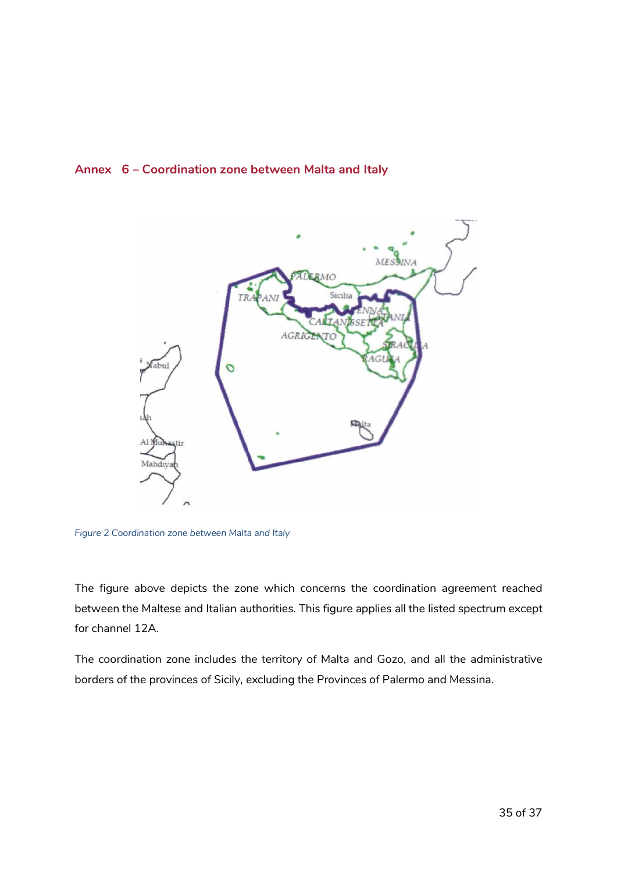#### **Annex 6 – Coordination zone between Malta and Italy**



*Figure 2 Coordination zone between Malta and Italy* 

The figure above depicts the zone which concerns the coordination agreement reached between the Maltese and Italian authorities. This figure applies all the listed spectrum except for channel 12A.

The coordination zone includes the territory of Malta and Gozo, and all the administrative borders of the provinces of Sicily, excluding the Provinces of Palermo and Messina.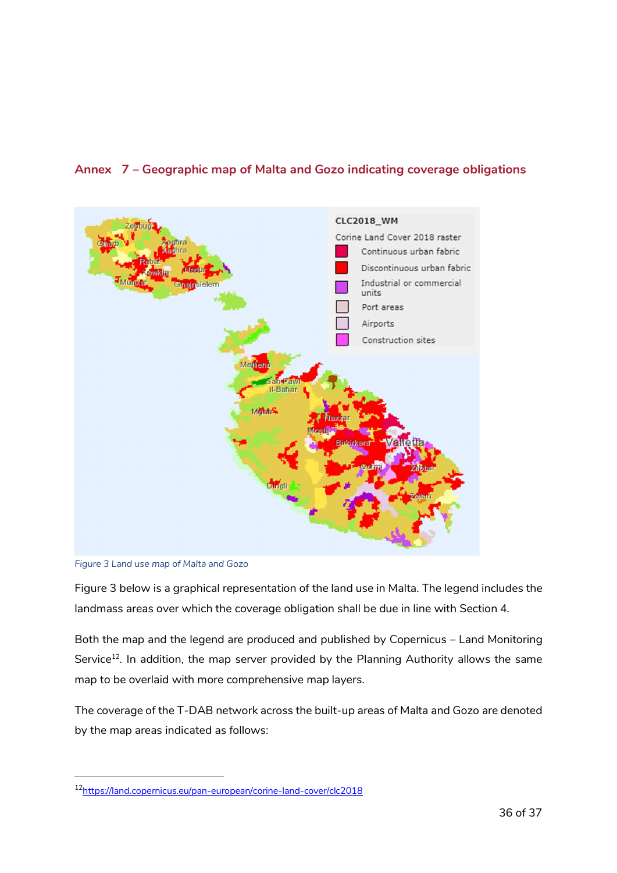

### **Annex 7 – Geographic map of Malta and Gozo indicating coverage obligations**

*Figure 3 Land use map of Malta and Gozo*

-

Figure 3 below is a graphical representation of the land use in Malta. The legend includes the landmass areas over which the coverage obligation shall be due in line with Section 4.

Both the map and the legend are produced and published by Copernicus – Land Monitoring Service<sup>12</sup>. In addition, the map server provided by the Planning Authority allows the same map to be overlaid with more comprehensive map layers.

The coverage of the T-DAB network across the built-up areas of Malta and Gozo are denoted by the map areas indicated as follows:

<sup>12</sup>https://land.copernicus.eu/pan-european/corine-land-cover/clc2018